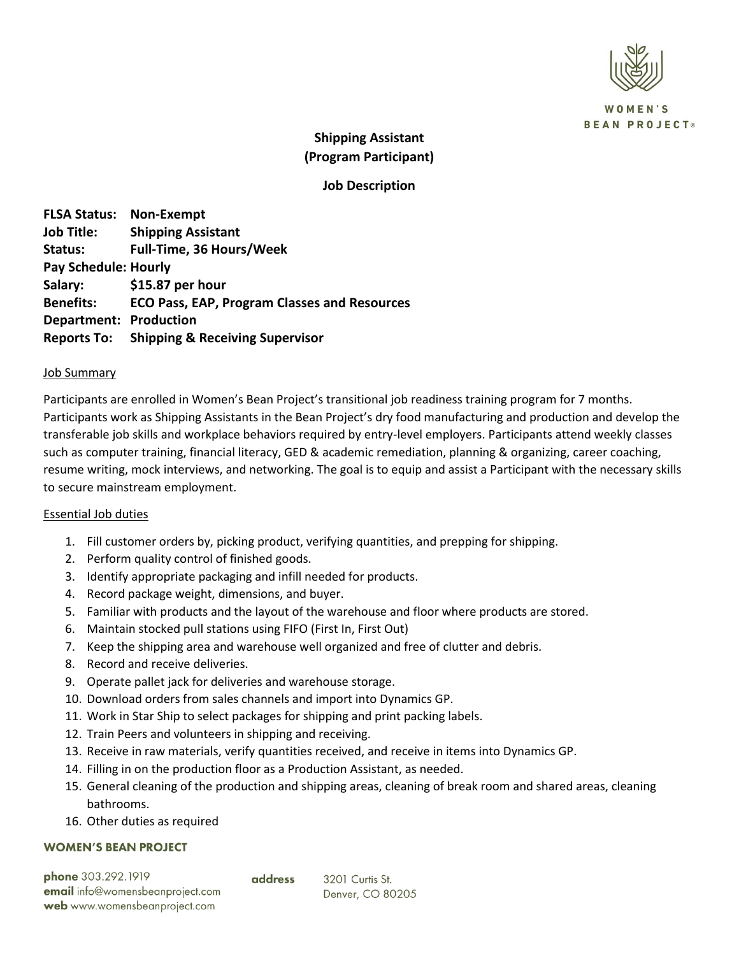

**OMEN'S BEAN PROJECT®** 

# **Shipping Assistant (Program Participant)**

## **Job Description**

**FLSA Status: Non-Exempt Job Title: Shipping Assistant Status: Full-Time, 36 Hours/Week Pay Schedule: Hourly Salary: \$15.87 per hour Benefits: ECO Pass, EAP, Program Classes and Resources Department: Production Reports To: Shipping & Receiving Supervisor**

#### Job Summary

Participants are enrolled in Women's Bean Project's transitional job readiness training program for 7 months. Participants work as Shipping Assistants in the Bean Project's dry food manufacturing and production and develop the transferable job skills and workplace behaviors required by entry-level employers. Participants attend weekly classes such as computer training, financial literacy, GED & academic remediation, planning & organizing, career coaching, resume writing, mock interviews, and networking. The goal is to equip and assist a Participant with the necessary skills to secure mainstream employment.

### Essential Job duties

- 1. Fill customer orders by, picking product, verifying quantities, and prepping for shipping.
- 2. Perform quality control of finished goods.
- 3. Identify appropriate packaging and infill needed for products.
- 4. Record package weight, dimensions, and buyer.
- 5. Familiar with products and the layout of the warehouse and floor where products are stored.
- 6. Maintain stocked pull stations using FIFO (First In, First Out)
- 7. Keep the shipping area and warehouse well organized and free of clutter and debris.
- 8. Record and receive deliveries.
- 9. Operate pallet jack for deliveries and warehouse storage.
- 10. Download orders from sales channels and import into Dynamics GP.
- 11. Work in Star Ship to select packages for shipping and print packing labels.
- 12. Train Peers and volunteers in shipping and receiving.
- 13. Receive in raw materials, verify quantities received, and receive in items into Dynamics GP.
- 14. Filling in on the production floor as a Production Assistant, as needed.

address

- 15. General cleaning of the production and shipping areas, cleaning of break room and shared areas, cleaning bathrooms.
- 16. Other duties as required

#### **WOMEN'S BEAN PROJECT**

| phone 303.292.1919               |  |
|----------------------------------|--|
| email info@womensbeanproject.com |  |
| web www.womensbeanproject.com    |  |

3201 Curtis St. Denver, CO 80205